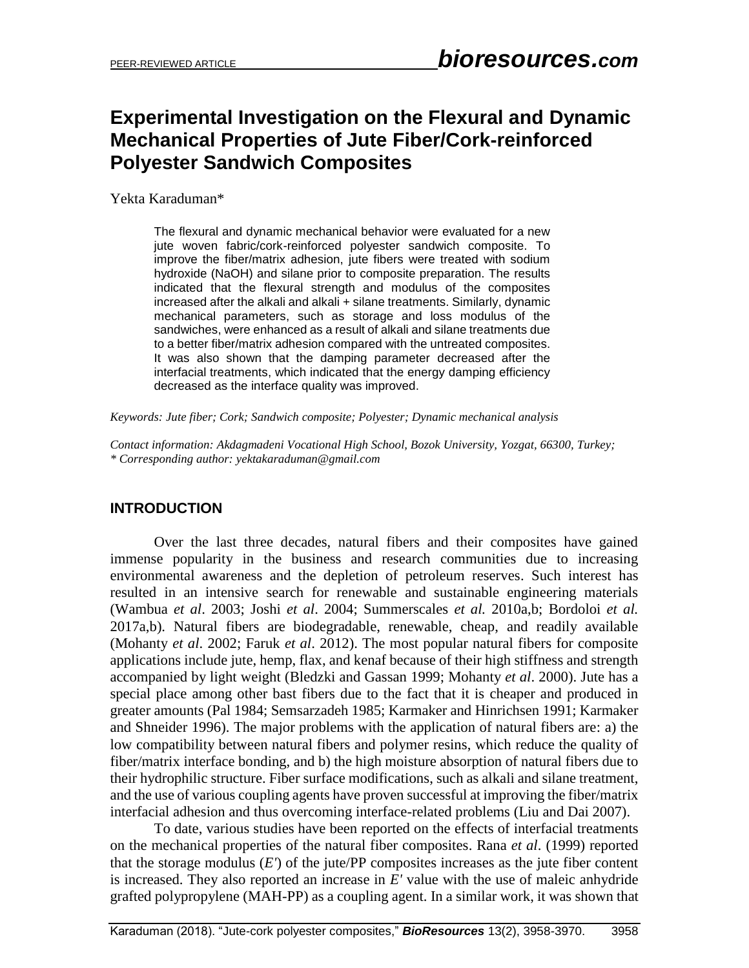# **Experimental Investigation on the Flexural and Dynamic Mechanical Properties of Jute Fiber/Cork-reinforced Polyester Sandwich Composites**

Yekta Karaduman\*

The flexural and dynamic mechanical behavior were evaluated for a new jute woven fabric/cork-reinforced polyester sandwich composite. To improve the fiber/matrix adhesion, jute fibers were treated with sodium hydroxide (NaOH) and silane prior to composite preparation. The results indicated that the flexural strength and modulus of the composites increased after the alkali and alkali + silane treatments. Similarly, dynamic mechanical parameters, such as storage and loss modulus of the sandwiches, were enhanced as a result of alkali and silane treatments due to a better fiber/matrix adhesion compared with the untreated composites. It was also shown that the damping parameter decreased after the interfacial treatments, which indicated that the energy damping efficiency decreased as the interface quality was improved.

*Keywords: Jute fiber; Cork; Sandwich composite; Polyester; Dynamic mechanical analysis*

*Contact information: Akdagmadeni Vocational High School, Bozok University, Yozgat, 66300, Turkey; \* Corresponding author: yektakaraduman@gmail.com*

## **INTRODUCTION**

Over the last three decades, natural fibers and their composites have gained immense popularity in the business and research communities due to increasing environmental awareness and the depletion of petroleum reserves. Such interest has resulted in an intensive search for renewable and sustainable engineering materials (Wambua *et al*. 2003; Joshi *et al*. 2004; Summerscales *et al.* 2010a,b; Bordoloi *et al.* 2017a,b). Natural fibers are biodegradable, renewable, cheap, and readily available (Mohanty *et al*. 2002; Faruk *et al*. 2012). The most popular natural fibers for composite applications include jute, hemp, flax, and kenaf because of their high stiffness and strength accompanied by light weight (Bledzki and Gassan 1999; Mohanty *et al*. 2000). Jute has a special place among other bast fibers due to the fact that it is cheaper and produced in greater amounts (Pal 1984; Semsarzadeh 1985; Karmaker and Hinrichsen 1991; Karmaker and Shneider 1996). The major problems with the application of natural fibers are: a) the low compatibility between natural fibers and polymer resins, which reduce the quality of fiber/matrix interface bonding, and b) the high moisture absorption of natural fibers due to their hydrophilic structure. Fiber surface modifications, such as alkali and silane treatment, and the use of various coupling agents have proven successful at improving the fiber/matrix interfacial adhesion and thus overcoming interface-related problems (Liu and Dai 2007).

To date, various studies have been reported on the effects of interfacial treatments on the mechanical properties of the natural fiber composites. Rana *et al*. (1999) reported that the storage modulus  $(E')$  of the jute/PP composites increases as the jute fiber content is increased. They also reported an increase in *E'* value with the use of maleic anhydride grafted polypropylene (MAH-PP) as a coupling agent. In a similar work, it was shown that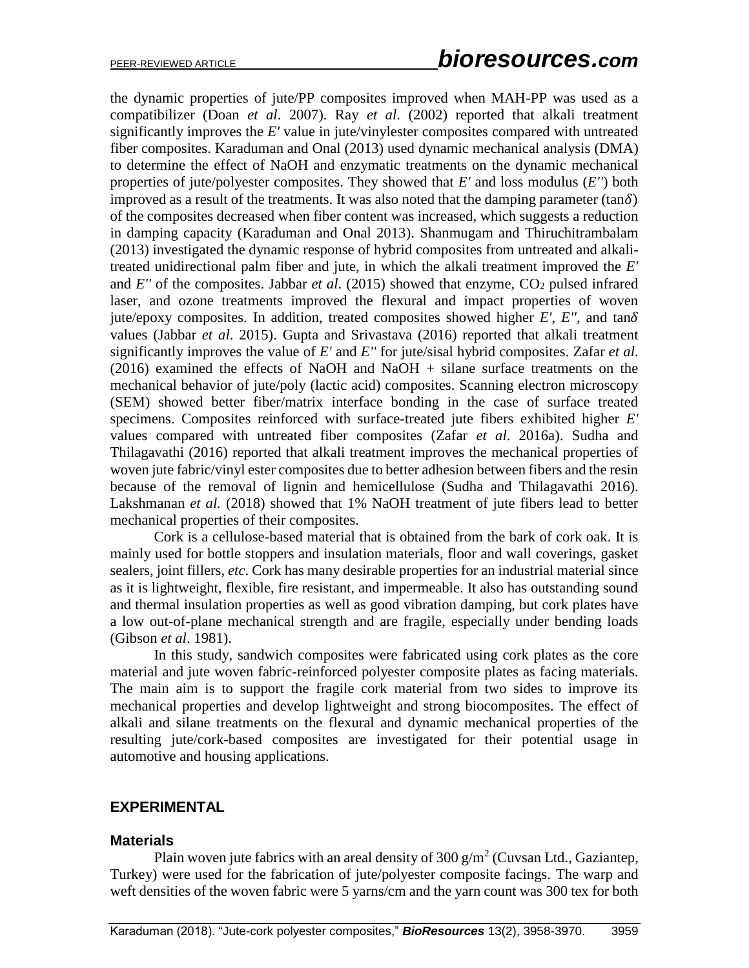the dynamic properties of jute/PP composites improved when MAH-PP was used as a compatibilizer (Doan *et al*. 2007). Ray *et al*. (2002) reported that alkali treatment significantly improves the *E'* value in jute/vinylester composites compared with untreated fiber composites. Karaduman and Onal (2013) used dynamic mechanical analysis (DMA) to determine the effect of NaOH and enzymatic treatments on the dynamic mechanical properties of jute/polyester composites. They showed that *E'* and loss modulus (*E''*) both improved as a result of the treatments. It was also noted that the damping parameter (tan $\delta$ ) of the composites decreased when fiber content was increased, which suggests a reduction in damping capacity (Karaduman and Onal 2013). Shanmugam and Thiruchitrambalam (2013) investigated the dynamic response of hybrid composites from untreated and alkalitreated unidirectional palm fiber and jute, in which the alkali treatment improved the *E'* and  $E''$  of the composites. Jabbar *et al.* (2015) showed that enzyme,  $CO_2$  pulsed infrared laser, and ozone treatments improved the flexural and impact properties of woven jute/epoxy composites. In addition, treated composites showed higher  $E'$ ,  $E''$ , and  $tan\delta$ values (Jabbar *et al*. 2015). Gupta and Srivastava (2016) reported that alkali treatment significantly improves the value of *E'* and *E''* for jute/sisal hybrid composites. Zafar *et al*. (2016) examined the effects of NaOH and NaOH + silane surface treatments on the mechanical behavior of jute/poly (lactic acid) composites. Scanning electron microscopy (SEM) showed better fiber/matrix interface bonding in the case of surface treated specimens. Composites reinforced with surface-treated jute fibers exhibited higher *E'* values compared with untreated fiber composites (Zafar *et al*. 2016a). Sudha and Thilagavathi (2016) reported that alkali treatment improves the mechanical properties of woven jute fabric/vinyl ester composites due to better adhesion between fibers and the resin because of the removal of lignin and hemicellulose (Sudha and Thilagavathi 2016). Lakshmanan *et al.* (2018) showed that 1% NaOH treatment of jute fibers lead to better mechanical properties of their composites.

Cork is a cellulose-based material that is obtained from the bark of cork oak. It is mainly used for bottle stoppers and insulation materials, floor and wall coverings, gasket sealers, joint fillers, *etc*. Cork has many desirable properties for an industrial material since as it is lightweight, flexible, fire resistant, and impermeable. It also has outstanding sound and thermal insulation properties as well as good vibration damping, but cork plates have a low out-of-plane mechanical strength and are fragile, especially under bending loads (Gibson *et al*. 1981).

In this study, sandwich composites were fabricated using cork plates as the core material and jute woven fabric-reinforced polyester composite plates as facing materials. The main aim is to support the fragile cork material from two sides to improve its mechanical properties and develop lightweight and strong biocomposites. The effect of alkali and silane treatments on the flexural and dynamic mechanical properties of the resulting jute/cork-based composites are investigated for their potential usage in automotive and housing applications.

#### **EXPERIMENTAL**

#### **Materials**

Plain woven jute fabrics with an areal density of 300  $\frac{g}{m^2}$  (Cuvsan Ltd., Gaziantep, Turkey) were used for the fabrication of jute/polyester composite facings. The warp and weft densities of the woven fabric were 5 yarns/cm and the yarn count was 300 tex for both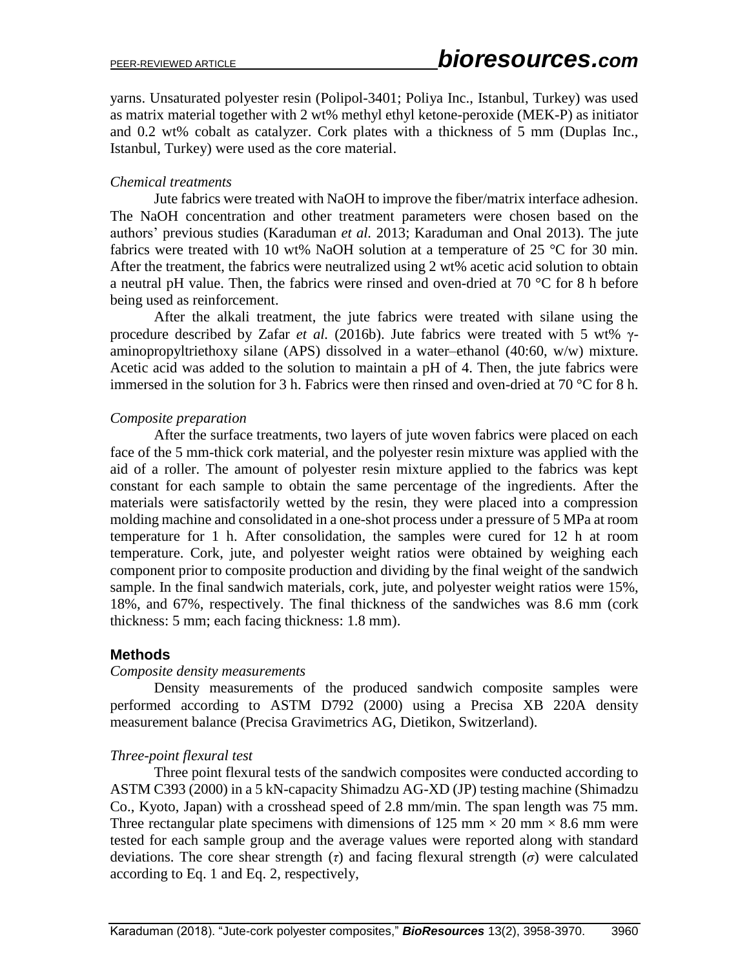yarns. Unsaturated polyester resin (Polipol-3401; Poliya Inc., Istanbul, Turkey) was used as matrix material together with 2 wt% methyl ethyl ketone-peroxide (MEK-P) as initiator and 0.2 wt% cobalt as catalyzer. Cork plates with a thickness of 5 mm (Duplas Inc., Istanbul, Turkey) were used as the core material.

#### *Chemical treatments*

Jute fabrics were treated with NaOH to improve the fiber/matrix interface adhesion. The NaOH concentration and other treatment parameters were chosen based on the authors' previous studies (Karaduman *et al.* 2013; Karaduman and Onal 2013). The jute fabrics were treated with 10 wt% NaOH solution at a temperature of 25  $\degree$ C for 30 min. After the treatment, the fabrics were neutralized using 2 wt% acetic acid solution to obtain a neutral pH value. Then, the fabrics were rinsed and oven-dried at 70 °C for 8 h before being used as reinforcement.

After the alkali treatment, the jute fabrics were treated with silane using the procedure described by Zafar *et al.* (2016b). Jute fabrics were treated with 5 wt% γaminopropyltriethoxy silane (APS) dissolved in a water–ethanol (40:60, w/w) mixture. Acetic acid was added to the solution to maintain a pH of 4. Then, the jute fabrics were immersed in the solution for 3 h. Fabrics were then rinsed and oven-dried at 70 °C for 8 h.

#### *Composite preparation*

After the surface treatments, two layers of jute woven fabrics were placed on each face of the 5 mm-thick cork material, and the polyester resin mixture was applied with the aid of a roller. The amount of polyester resin mixture applied to the fabrics was kept constant for each sample to obtain the same percentage of the ingredients. After the materials were satisfactorily wetted by the resin, they were placed into a compression molding machine and consolidated in a one-shot process under a pressure of 5 MPa at room temperature for 1 h. After consolidation, the samples were cured for 12 h at room temperature. Cork, jute, and polyester weight ratios were obtained by weighing each component prior to composite production and dividing by the final weight of the sandwich sample. In the final sandwich materials, cork, jute, and polyester weight ratios were 15%, 18%, and 67%, respectively. The final thickness of the sandwiches was 8.6 mm (cork thickness: 5 mm; each facing thickness: 1.8 mm).

## **Methods**

#### *Composite density measurements*

Density measurements of the produced sandwich composite samples were performed according to ASTM D792 (2000) using a Precisa XB 220A density measurement balance (Precisa Gravimetrics AG, Dietikon, Switzerland).

#### *Three-point flexural test*

Three point flexural tests of the sandwich composites were conducted according to ASTM C393 (2000) in a 5 kN-capacity Shimadzu AG-XD (JP) testing machine (Shimadzu Co., Kyoto, Japan) with a crosshead speed of 2.8 mm/min. The span length was 75 mm. Three rectangular plate specimens with dimensions of 125 mm  $\times$  20 mm  $\times$  8.6 mm were tested for each sample group and the average values were reported along with standard deviations. The core shear strength (*τ*) and facing flexural strength (*σ*) were calculated according to Eq. 1 and Eq. 2, respectively,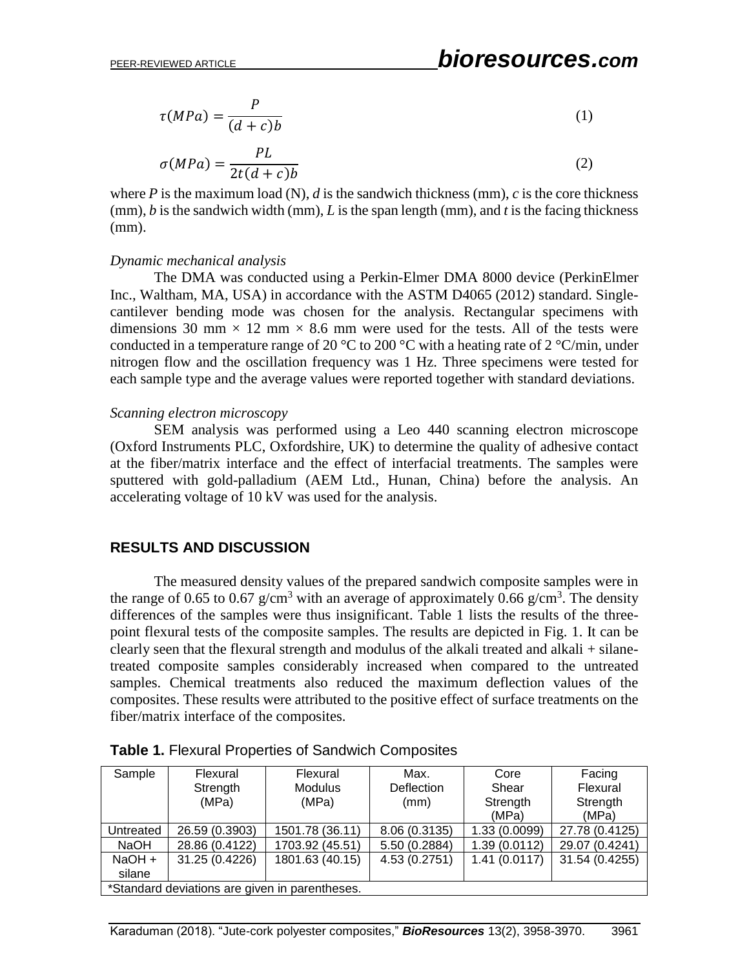$\lambda$ 

$$
\tau(MPa) = \frac{P}{(d+c)b} \tag{1}
$$

$$
\sigma(MPa) = \frac{PL}{2t(d+c)b} \tag{2}
$$

where *P* is the maximum load (N), *d* is the sandwich thickness (mm), *c* is the core thickness (mm), *b* is the sandwich width (mm), *L* is the span length (mm), and *t* is the facing thickness (mm).

#### *Dynamic mechanical analysis*

The DMA was conducted using a Perkin-Elmer DMA 8000 device (PerkinElmer Inc., Waltham, MA, USA) in accordance with the ASTM D4065 (2012) standard. Singlecantilever bending mode was chosen for the analysis. Rectangular specimens with dimensions 30 mm  $\times$  12 mm  $\times$  8.6 mm were used for the tests. All of the tests were conducted in a temperature range of 20  $^{\circ}$ C to 200  $^{\circ}$ C with a heating rate of 2  $^{\circ}$ C/min, under nitrogen flow and the oscillation frequency was 1 Hz. Three specimens were tested for each sample type and the average values were reported together with standard deviations.

#### *Scanning electron microscopy*

SEM analysis was performed using a Leo 440 scanning electron microscope (Oxford Instruments PLC, Oxfordshire, UK) to determine the quality of adhesive contact at the fiber/matrix interface and the effect of interfacial treatments. The samples were sputtered with gold-palladium (AEM Ltd., Hunan, China) before the analysis. An accelerating voltage of 10 kV was used for the analysis.

## **RESULTS AND DISCUSSION**

The measured density values of the prepared sandwich composite samples were in the range of 0.65 to 0.67 g/cm<sup>3</sup> with an average of approximately 0.66 g/cm<sup>3</sup>. The density differences of the samples were thus insignificant. Table 1 lists the results of the threepoint flexural tests of the composite samples. The results are depicted in Fig. 1. It can be clearly seen that the flexural strength and modulus of the alkali treated and alkali + silanetreated composite samples considerably increased when compared to the untreated samples. Chemical treatments also reduced the maximum deflection values of the composites. These results were attributed to the positive effect of surface treatments on the fiber/matrix interface of the composites.

| Sample                                         | Flexural       | Flexural        | Max.          | Core          | Facing         |  |  |
|------------------------------------------------|----------------|-----------------|---------------|---------------|----------------|--|--|
|                                                | Strength       | <b>Modulus</b>  | Deflection    | Shear         | Flexural       |  |  |
|                                                | (MPa)          | (MPa)           | (mm)          | Strength      | Strength       |  |  |
|                                                |                |                 |               | (MPa)         | (MPa)          |  |  |
| Untreated                                      | 26.59 (0.3903) | 1501.78 (36.11) | 8.06 (0.3135) | 1.33 (0.0099) | 27.78 (0.4125) |  |  |
| <b>NaOH</b>                                    | 28.86 (0.4122) | 1703.92 (45.51) | 5.50 (0.2884) | 1.39(0.0112)  | 29.07 (0.4241) |  |  |
| NaOH +                                         | 31.25 (0.4226) | 1801.63 (40.15) | 4.53 (0.2751) | 1.41(0.0117)  | 31.54 (0.4255) |  |  |
| silane                                         |                |                 |               |               |                |  |  |
| *Standard deviations are given in parentheses. |                |                 |               |               |                |  |  |

| Table 1. Flexural Properties of Sandwich Composites |  |  |
|-----------------------------------------------------|--|--|
|-----------------------------------------------------|--|--|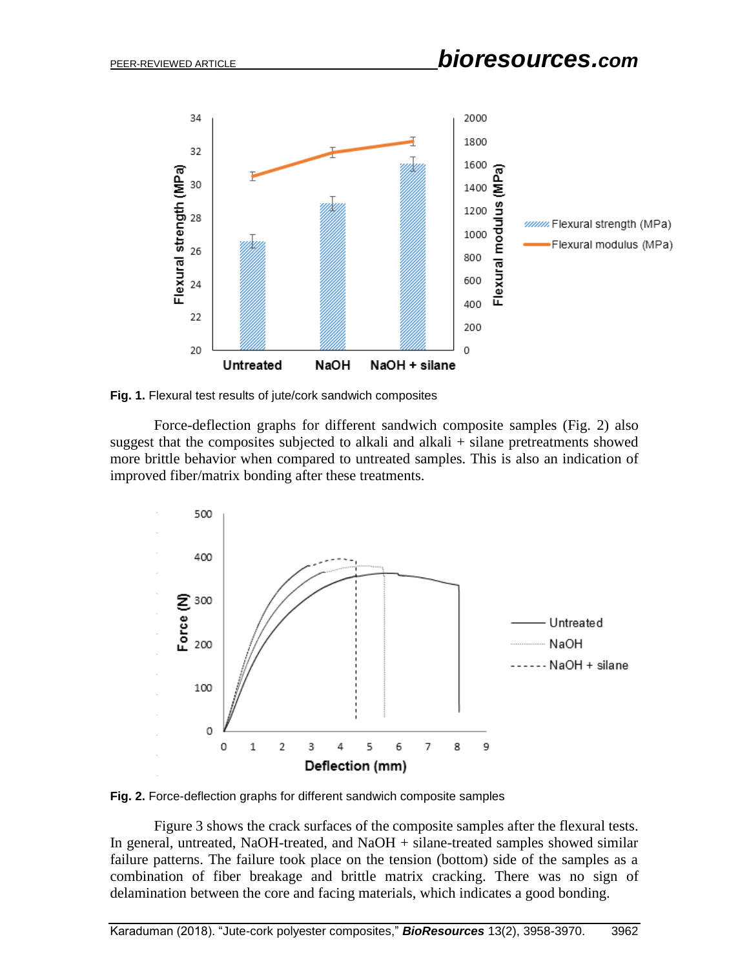

**Fig. 1.** Flexural test results of jute/cork sandwich composites

Force-deflection graphs for different sandwich composite samples (Fig. 2) also suggest that the composites subjected to alkali and alkali  $+$  silane pretreatments showed more brittle behavior when compared to untreated samples. This is also an indication of improved fiber/matrix bonding after these treatments.



**Fig. 2.** Force-deflection graphs for different sandwich composite samples

Figure 3 shows the crack surfaces of the composite samples after the flexural tests. In general, untreated, NaOH-treated, and NaOH + silane-treated samples showed similar failure patterns. The failure took place on the tension (bottom) side of the samples as a combination of fiber breakage and brittle matrix cracking. There was no sign of delamination between the core and facing materials, which indicates a good bonding.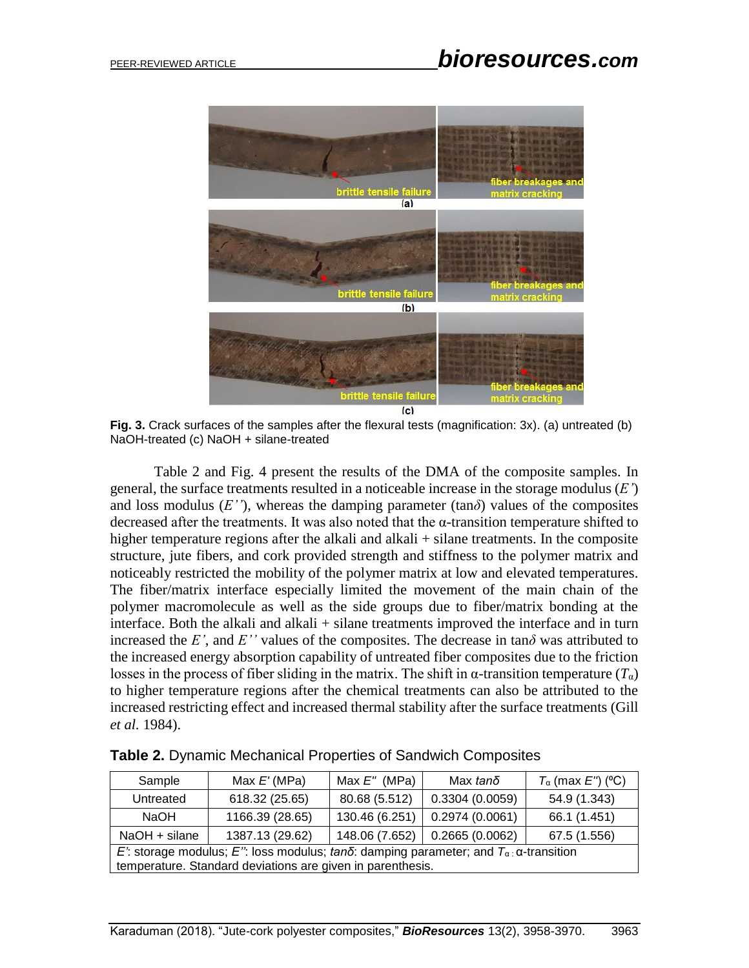

**Fig. 3.** Crack surfaces of the samples after the flexural tests (magnification: 3x). (a) untreated (b) NaOH-treated (c) NaOH + silane-treated

Table 2 and Fig. 4 present the results of the DMA of the composite samples. In general, the surface treatments resulted in a noticeable increase in the storage modulus (*E'*) and loss modulus  $(E'')$ , whereas the damping parameter  $(\tan \delta)$  values of the composites decreased after the treatments. It was also noted that the α-transition temperature shifted to higher temperature regions after the alkali and alkali + silane treatments. In the composite structure, jute fibers, and cork provided strength and stiffness to the polymer matrix and noticeably restricted the mobility of the polymer matrix at low and elevated temperatures. The fiber/matrix interface especially limited the movement of the main chain of the polymer macromolecule as well as the side groups due to fiber/matrix bonding at the interface. Both the alkali and alkali + silane treatments improved the interface and in turn increased the *E'*, and *E''* values of the composites. The decrease in tan $\delta$  was attributed to the increased energy absorption capability of untreated fiber composites due to the friction losses in the process of fiber sliding in the matrix. The shift in  $\alpha$ -transition temperature  $(T_{\alpha})$ to higher temperature regions after the chemical treatments can also be attributed to the increased restricting effect and increased thermal stability after the surface treatments (Gill *et al.* 1984).

| Sample                                                                                         | Max $E'$ (MPa)  | Max $E''$ (MPa) | Max <i>tanδ</i>                | $T_{\alpha}$ (max E'') (°C) |  |  |  |
|------------------------------------------------------------------------------------------------|-----------------|-----------------|--------------------------------|-----------------------------|--|--|--|
| Untreated                                                                                      | 618.32 (25.65)  | 80.68 (5.512)   | 0.3304(0.0059)                 | 54.9 (1.343)                |  |  |  |
| NaOH                                                                                           | 1166.39 (28.65) | 130.46 (6.251)  | 0.2974(0.0061)                 | 66.1 (1.451)                |  |  |  |
| NaOH + silane                                                                                  | 1387.13 (29.62) |                 | 148.06 (7.652) 0.2665 (0.0062) | 67.5 (1.556)                |  |  |  |
| E': storage modulus; E'': loss modulus; tanδ: damping parameter; and $T_\alpha$ : α-transition |                 |                 |                                |                             |  |  |  |
| temperature. Standard deviations are given in parenthesis.                                     |                 |                 |                                |                             |  |  |  |

**Table 2.** Dynamic Mechanical Properties of Sandwich Composites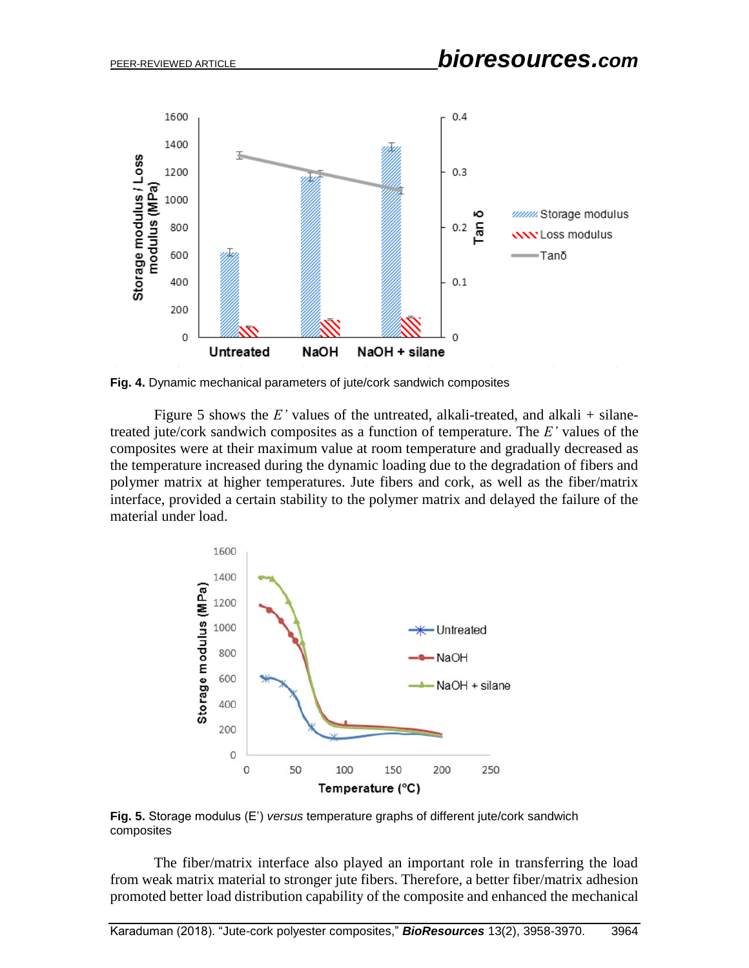

**Fig. 4.** Dynamic mechanical parameters of jute/cork sandwich composites

Figure 5 shows the  $E'$  values of the untreated, alkali-treated, and alkali  $+$  silanetreated jute/cork sandwich composites as a function of temperature. The *E'* values of the composites were at their maximum value at room temperature and gradually decreased as the temperature increased during the dynamic loading due to the degradation of fibers and polymer matrix at higher temperatures. Jute fibers and cork, as well as the fiber/matrix interface, provided a certain stability to the polymer matrix and delayed the failure of the material under load.



**Fig. 5.** Storage modulus (E') *versus* temperature graphs of different jute/cork sandwich composites

The fiber/matrix interface also played an important role in transferring the load from weak matrix material to stronger jute fibers. Therefore, a better fiber/matrix adhesion promoted better load distribution capability of the composite and enhanced the mechanical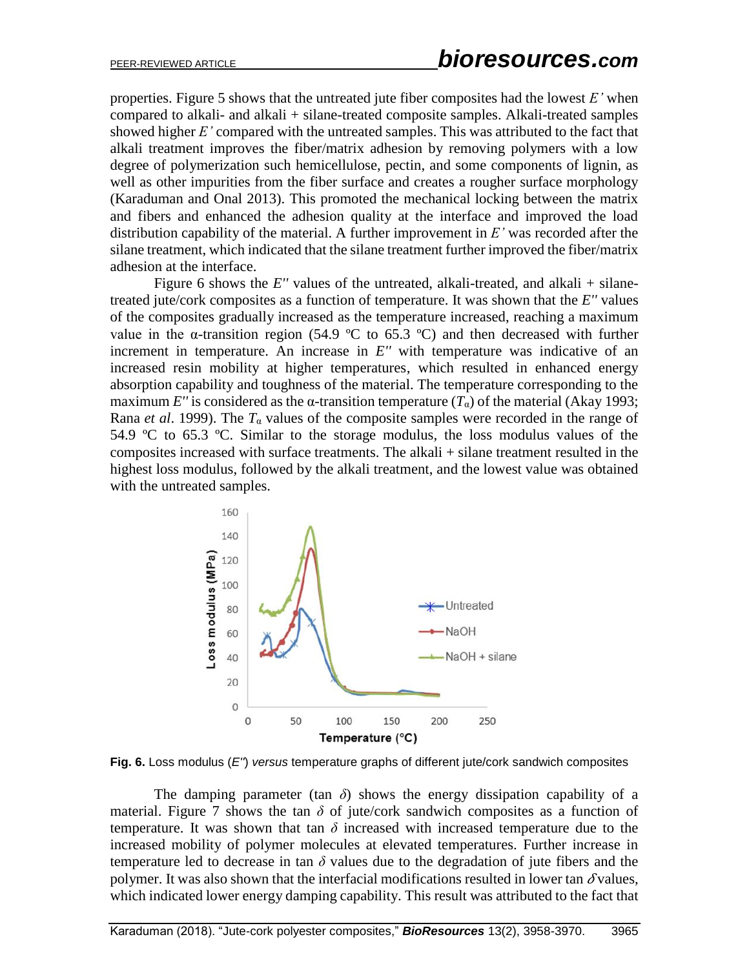properties. Figure 5 shows that the untreated jute fiber composites had the lowest *E'* when compared to alkali- and alkali + silane-treated composite samples. Alkali-treated samples showed higher *E'* compared with the untreated samples. This was attributed to the fact that alkali treatment improves the fiber/matrix adhesion by removing polymers with a low degree of polymerization such hemicellulose, pectin, and some components of lignin, as well as other impurities from the fiber surface and creates a rougher surface morphology (Karaduman and Onal 2013). This promoted the mechanical locking between the matrix and fibers and enhanced the adhesion quality at the interface and improved the load distribution capability of the material. A further improvement in *E'* was recorded after the silane treatment, which indicated that the silane treatment further improved the fiber/matrix adhesion at the interface.

Figure 6 shows the  $E''$  values of the untreated, alkali-treated, and alkali  $+$  silanetreated jute/cork composites as a function of temperature. It was shown that the *E''* values of the composites gradually increased as the temperature increased, reaching a maximum value in the  $\alpha$ -transition region (54.9 °C to 65.3 °C) and then decreased with further increment in temperature. An increase in  $E''$  with temperature was indicative of an increased resin mobility at higher temperatures, which resulted in enhanced energy absorption capability and toughness of the material. The temperature corresponding to the maximum *E''* is considered as the  $\alpha$ -transition temperature  $(T_{\alpha})$  of the material (Akay 1993; Rana *et al.* 1999). The  $T_{\alpha}$  values of the composite samples were recorded in the range of 54.9 ºC to 65.3 ºC. Similar to the storage modulus, the loss modulus values of the composites increased with surface treatments. The alkali + silane treatment resulted in the highest loss modulus, followed by the alkali treatment, and the lowest value was obtained with the untreated samples.



**Fig. 6.** Loss modulus (*E''*) *versus* temperature graphs of different jute/cork sandwich composites

The damping parameter (tan  $\delta$ ) shows the energy dissipation capability of a material. Figure 7 shows the tan  $\delta$  of jute/cork sandwich composites as a function of temperature. It was shown that tan  $\delta$  increased with increased temperature due to the increased mobility of polymer molecules at elevated temperatures. Further increase in temperature led to decrease in tan  $\delta$  values due to the degradation of jute fibers and the polymer. It was also shown that the interfacial modifications resulted in lower tan  $\delta$  values, which indicated lower energy damping capability. This result was attributed to the fact that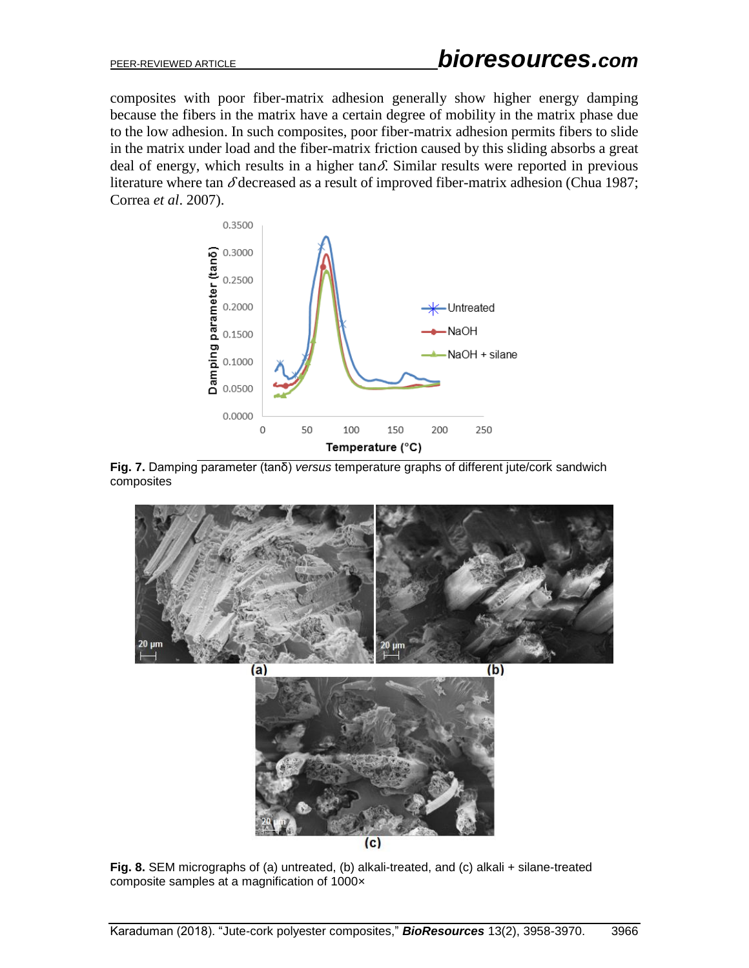composites with poor fiber-matrix adhesion generally show higher energy damping because the fibers in the matrix have a certain degree of mobility in the matrix phase due to the low adhesion. In such composites, poor fiber-matrix adhesion permits fibers to slide in the matrix under load and the fiber-matrix friction caused by this sliding absorbs a great deal of energy, which results in a higher tan $\delta$ . Similar results were reported in previous literature where tan  $\delta$  decreased as a result of improved fiber-matrix adhesion (Chua 1987; Correa *et al*. 2007).







**Fig. 8.** SEM micrographs of (a) untreated, (b) alkali-treated, and (c) alkali + silane-treated composite samples at a magnification of 1000×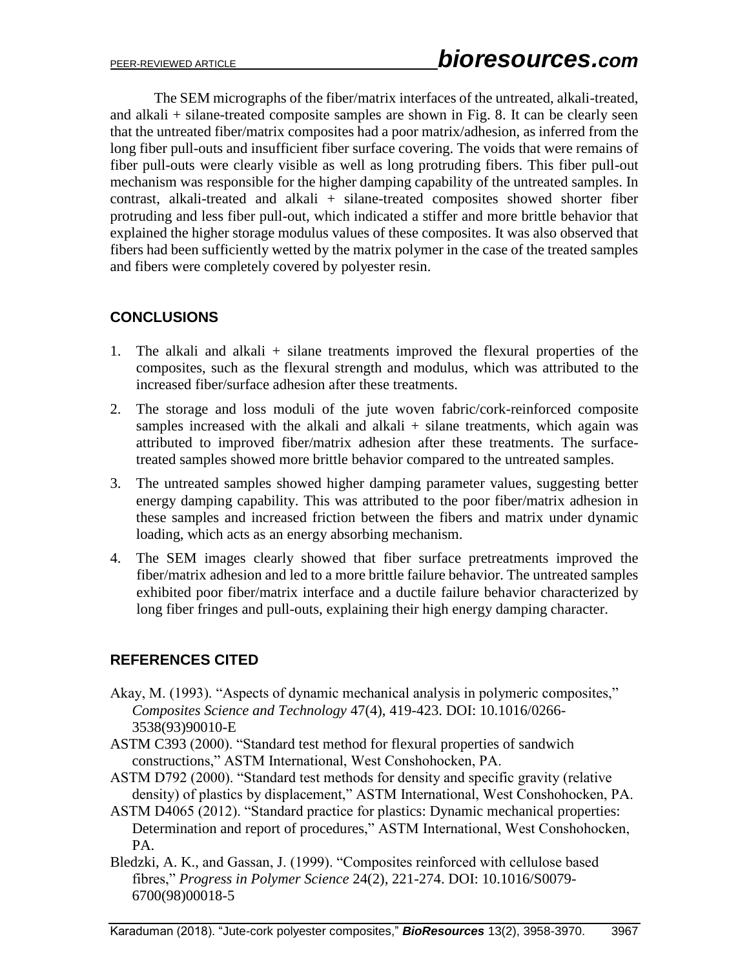The SEM micrographs of the fiber/matrix interfaces of the untreated, alkali-treated, and alkali + silane-treated composite samples are shown in Fig. 8. It can be clearly seen that the untreated fiber/matrix composites had a poor matrix/adhesion, as inferred from the long fiber pull-outs and insufficient fiber surface covering. The voids that were remains of fiber pull-outs were clearly visible as well as long protruding fibers. This fiber pull-out mechanism was responsible for the higher damping capability of the untreated samples. In contrast, alkali-treated and alkali + silane-treated composites showed shorter fiber protruding and less fiber pull-out, which indicated a stiffer and more brittle behavior that explained the higher storage modulus values of these composites. It was also observed that fibers had been sufficiently wetted by the matrix polymer in the case of the treated samples and fibers were completely covered by polyester resin.

# **CONCLUSIONS**

- 1. The alkali and alkali + silane treatments improved the flexural properties of the composites, such as the flexural strength and modulus, which was attributed to the increased fiber/surface adhesion after these treatments.
- 2. The storage and loss moduli of the jute woven fabric/cork-reinforced composite samples increased with the alkali and alkali  $+$  silane treatments, which again was attributed to improved fiber/matrix adhesion after these treatments. The surfacetreated samples showed more brittle behavior compared to the untreated samples.
- 3. The untreated samples showed higher damping parameter values, suggesting better energy damping capability. This was attributed to the poor fiber/matrix adhesion in these samples and increased friction between the fibers and matrix under dynamic loading, which acts as an energy absorbing mechanism.
- 4. The SEM images clearly showed that fiber surface pretreatments improved the fiber/matrix adhesion and led to a more brittle failure behavior. The untreated samples exhibited poor fiber/matrix interface and a ductile failure behavior characterized by long fiber fringes and pull-outs, explaining their high energy damping character.

# **REFERENCES CITED**

- Akay, M. (1993). "Aspects of dynamic mechanical analysis in polymeric composites," *Composites Science and Technology* 47(4), 419-423. DOI: 10.1016/0266- 3538(93)90010-E
- ASTM C393 (2000). "Standard test method for flexural properties of sandwich constructions," ASTM International, West Conshohocken, PA.
- ASTM D792 (2000). "Standard test methods for density and specific gravity (relative density) of plastics by displacement," ASTM International, West Conshohocken, PA.
- ASTM D4065 (2012). "Standard practice for plastics: Dynamic mechanical properties: Determination and report of procedures," ASTM International, West Conshohocken, PA.
- Bledzki, A. K., and Gassan, J. (1999). "Composites reinforced with cellulose based fibres," *Progress in Polymer Science* 24(2), 221-274. DOI: 10.1016/S0079- 6700(98)00018-5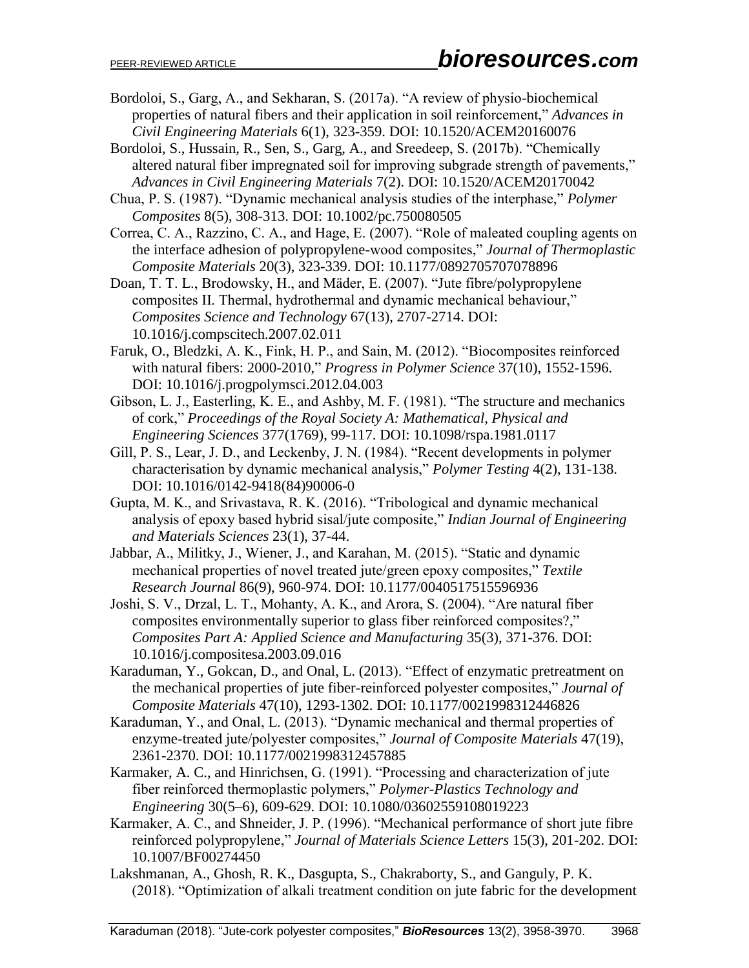Bordoloi, S., Garg, A., and Sekharan, S. (2017a). "A review of physio-biochemical properties of natural fibers and their application in soil reinforcement," *Advances in Civil Engineering Materials* 6(1), 323-359. DOI: 10.1520/ACEM20160076

Bordoloi, S., Hussain, R., Sen, S., Garg, A., and Sreedeep, S. (2017b). "Chemically altered natural fiber impregnated soil for improving subgrade strength of pavements," *Advances in Civil Engineering Materials* 7(2). DOI: 10.1520/ACEM20170042

Chua, P. S. (1987). "Dynamic mechanical analysis studies of the interphase," *Polymer Composites* 8(5), 308-313. DOI: 10.1002/pc.750080505

- Correa, C. A., Razzino, C. A., and Hage, E. (2007). "Role of maleated coupling agents on the interface adhesion of polypropylene-wood composites," *Journal of Thermoplastic Composite Materials* 20(3), 323-339. DOI: 10.1177/0892705707078896
- Doan, T. T. L., Brodowsky, H., and Mäder, E. (2007). "Jute fibre/polypropylene composites II. Thermal, hydrothermal and dynamic mechanical behaviour," *Composites Science and Technology* 67(13), 2707-2714. DOI: 10.1016/j.compscitech.2007.02.011
- Faruk, O., Bledzki, A. K., Fink, H. P., and Sain, M. (2012). "Biocomposites reinforced with natural fibers: 2000-2010," *Progress in Polymer Science* 37(10), 1552-1596. DOI: 10.1016/j.progpolymsci.2012.04.003
- Gibson, L. J., Easterling, K. E., and Ashby, M. F. (1981). "The structure and mechanics of cork," *Proceedings of the Royal Society A: Mathematical, Physical and Engineering Sciences* 377(1769), 99-117. DOI: 10.1098/rspa.1981.0117
- Gill, P. S., Lear, J. D., and Leckenby, J. N. (1984). "Recent developments in polymer characterisation by dynamic mechanical analysis," *Polymer Testing* 4(2), 131-138. DOI: 10.1016/0142-9418(84)90006-0
- Gupta, M. K., and Srivastava, R. K. (2016). "Tribological and dynamic mechanical analysis of epoxy based hybrid sisal/jute composite," *Indian Journal of Engineering and Materials Sciences* 23(1), 37-44.
- Jabbar, A., Militky, J., Wiener, J., and Karahan, M. (2015). "Static and dynamic mechanical properties of novel treated jute/green epoxy composites," *Textile Research Journal* 86(9), 960-974. DOI: 10.1177/0040517515596936
- Joshi, S. V., Drzal, L. T., Mohanty, A. K., and Arora, S. (2004). "Are natural fiber composites environmentally superior to glass fiber reinforced composites?," *Composites Part A: Applied Science and Manufacturing* 35(3), 371-376. DOI: 10.1016/j.compositesa.2003.09.016
- Karaduman, Y., Gokcan, D., and Onal, L. (2013). "Effect of enzymatic pretreatment on the mechanical properties of jute fiber-reinforced polyester composites," *Journal of Composite Materials* 47(10), 1293-1302. DOI: 10.1177/0021998312446826
- Karaduman, Y., and Onal, L. (2013). "Dynamic mechanical and thermal properties of enzyme-treated jute/polyester composites," *Journal of Composite Materials* 47(19), 2361-2370. DOI: 10.1177/0021998312457885
- Karmaker, A. C., and Hinrichsen, G. (1991). "Processing and characterization of jute fiber reinforced thermoplastic polymers," *Polymer-Plastics Technology and Engineering* 30(5–6), 609-629. DOI: 10.1080/03602559108019223
- Karmaker, A. C., and Shneider, J. P. (1996). "Mechanical performance of short jute fibre reinforced polypropylene," *Journal of Materials Science Letters* 15(3), 201-202. DOI: 10.1007/BF00274450
- Lakshmanan, A., Ghosh, R. K., Dasgupta, S., Chakraborty, S., and Ganguly, P. K. (2018). "Optimization of alkali treatment condition on jute fabric for the development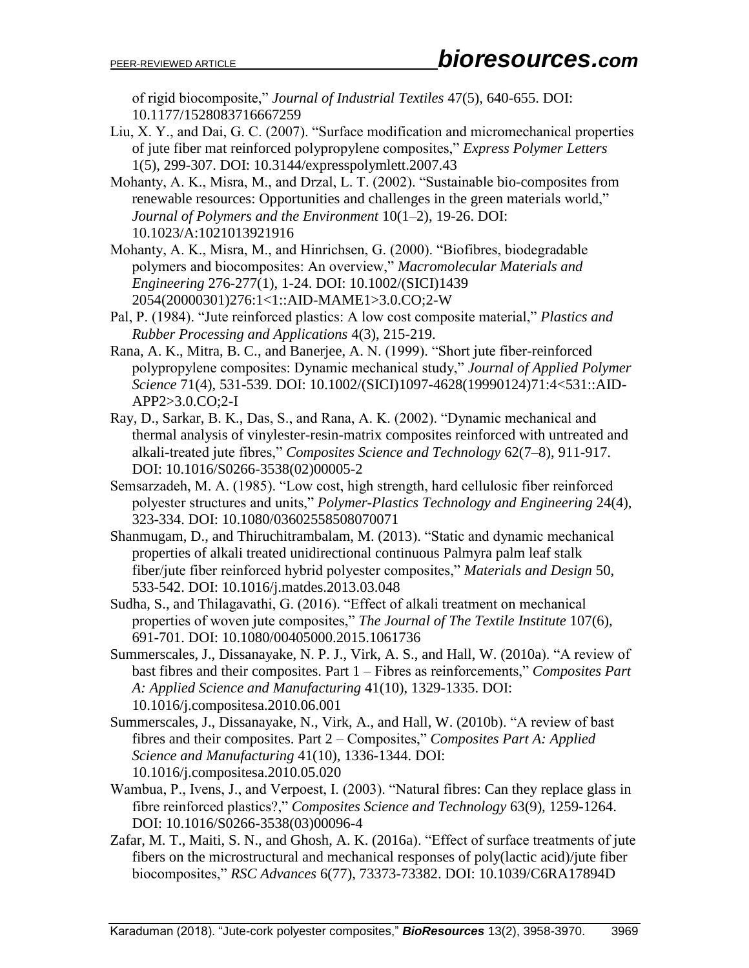of rigid biocomposite," *Journal of Industrial Textiles* 47(5), 640-655. DOI: 10.1177/1528083716667259

- Liu, X. Y., and Dai, G. C. (2007). "Surface modification and micromechanical properties of jute fiber mat reinforced polypropylene composites," *Express Polymer Letters* 1(5), 299-307. DOI: 10.3144/expresspolymlett.2007.43
- Mohanty, A. K., Misra, M., and Drzal, L. T. (2002). "Sustainable bio-composites from renewable resources: Opportunities and challenges in the green materials world," *Journal of Polymers and the Environment* 10(1–2), 19-26. DOI: 10.1023/A:1021013921916
- Mohanty, A. K., Misra, M., and Hinrichsen, G. (2000). "Biofibres, biodegradable polymers and biocomposites: An overview," *Macromolecular Materials and Engineering* 276-277(1), 1-24. DOI: 10.1002/(SICI)1439 2054(20000301)276:1<1::AID-MAME1>3.0.CO;2-W
- Pal, P. (1984). "Jute reinforced plastics: A low cost composite material," *Plastics and Rubber Processing and Applications* 4(3), 215-219.
- Rana, A. K., Mitra, B. C., and Banerjee, A. N. (1999). "Short jute fiber-reinforced polypropylene composites: Dynamic mechanical study," *Journal of Applied Polymer Science* 71(4), 531-539. DOI: 10.1002/(SICI)1097-4628(19990124)71:4<531::AID-APP2>3.0.CO;2-I
- Ray, D., Sarkar, B. K., Das, S., and Rana, A. K. (2002). "Dynamic mechanical and thermal analysis of vinylester-resin-matrix composites reinforced with untreated and alkali-treated jute fibres," *Composites Science and Technology* 62(7–8), 911-917. DOI: 10.1016/S0266-3538(02)00005-2
- Semsarzadeh, M. A. (1985). "Low cost, high strength, hard cellulosic fiber reinforced polyester structures and units," *Polymer-Plastics Technology and Engineering* 24(4), 323-334. DOI: 10.1080/03602558508070071
- Shanmugam, D., and Thiruchitrambalam, M. (2013). "Static and dynamic mechanical properties of alkali treated unidirectional continuous Palmyra palm leaf stalk fiber/jute fiber reinforced hybrid polyester composites," *Materials and Design* 50, 533-542. DOI: 10.1016/j.matdes.2013.03.048
- Sudha, S., and Thilagavathi, G. (2016). "Effect of alkali treatment on mechanical properties of woven jute composites," *The Journal of The Textile Institute* 107(6), 691-701. DOI: 10.1080/00405000.2015.1061736
- Summerscales, J., Dissanayake, N. P. J., Virk, A. S., and Hall, W. (2010a). "A review of bast fibres and their composites. Part 1 – Fibres as reinforcements," *Composites Part A: Applied Science and Manufacturing* 41(10), 1329-1335. DOI: 10.1016/j.compositesa.2010.06.001
- Summerscales, J., Dissanayake, N., Virk, A., and Hall, W. (2010b). "A review of bast fibres and their composites. Part 2 – Composites," *Composites Part A: Applied Science and Manufacturing* 41(10), 1336-1344. DOI: 10.1016/j.compositesa.2010.05.020
- Wambua, P., Ivens, J., and Verpoest, I. (2003). "Natural fibres: Can they replace glass in fibre reinforced plastics?," *Composites Science and Technology* 63(9), 1259-1264. DOI: 10.1016/S0266-3538(03)00096-4
- Zafar, M. T., Maiti, S. N., and Ghosh, A. K. (2016a). "Effect of surface treatments of jute fibers on the microstructural and mechanical responses of poly(lactic acid)/jute fiber biocomposites," *RSC Advances* 6(77), 73373-73382. DOI: 10.1039/C6RA17894D